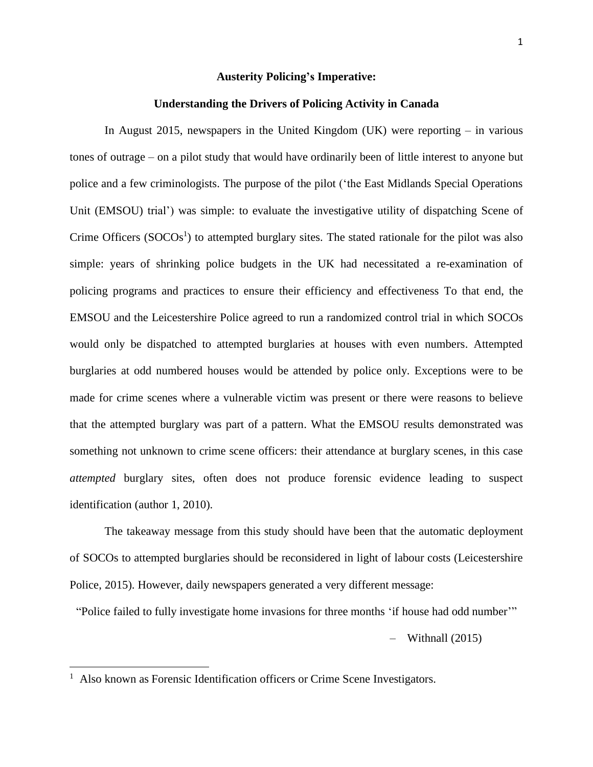### **Austerity Policing's Imperative:**

## **Understanding the Drivers of Policing Activity in Canada**

In August 2015, newspapers in the United Kingdom (UK) were reporting – in various tones of outrage – on a pilot study that would have ordinarily been of little interest to anyone but police and a few criminologists. The purpose of the pilot ('the East Midlands Special Operations Unit (EMSOU) trial') was simple: to evaluate the investigative utility of dispatching Scene of Crime Officers  $(SOCOs<sup>1</sup>)$  to attempted burglary sites. The stated rationale for the pilot was also simple: years of shrinking police budgets in the UK had necessitated a re-examination of policing programs and practices to ensure their efficiency and effectiveness To that end, the EMSOU and the Leicestershire Police agreed to run a randomized control trial in which SOCOs would only be dispatched to attempted burglaries at houses with even numbers. Attempted burglaries at odd numbered houses would be attended by police only. Exceptions were to be made for crime scenes where a vulnerable victim was present or there were reasons to believe that the attempted burglary was part of a pattern. What the EMSOU results demonstrated was something not unknown to crime scene officers: their attendance at burglary scenes, in this case *attempted* burglary sites, often does not produce forensic evidence leading to suspect identification (author 1, 2010).

The takeaway message from this study should have been that the automatic deployment of SOCOs to attempted burglaries should be reconsidered in light of labour costs (Leicestershire Police, 2015). However, daily newspapers generated a very different message:

"Police failed to fully investigate home invasions for three months 'if house had odd number'"

 $-$  Withnall (2015)

<sup>&</sup>lt;sup>1</sup> Also known as Forensic Identification officers or Crime Scene Investigators.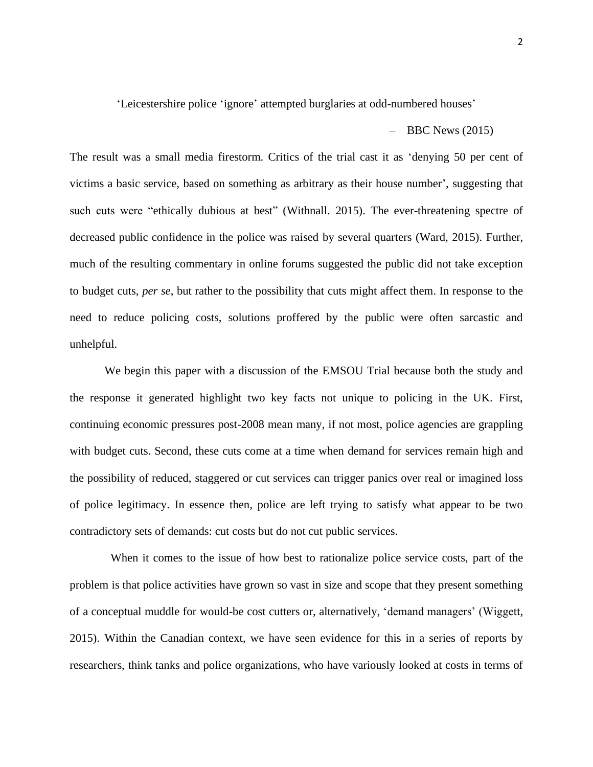'Leicestershire police 'ignore' attempted burglaries at odd-numbered houses'

 $-$  BBC News (2015)

The result was a small media firestorm. Critics of the trial cast it as 'denying 50 per cent of victims a basic service, based on something as arbitrary as their house number', suggesting that such cuts were "ethically dubious at best" (Withnall. 2015). The ever-threatening spectre of decreased public confidence in the police was raised by several quarters (Ward, 2015). Further, much of the resulting commentary in online forums suggested the public did not take exception to budget cuts, *per se*, but rather to the possibility that cuts might affect them. In response to the need to reduce policing costs, solutions proffered by the public were often sarcastic and unhelpful.

We begin this paper with a discussion of the EMSOU Trial because both the study and the response it generated highlight two key facts not unique to policing in the UK. First, continuing economic pressures post-2008 mean many, if not most, police agencies are grappling with budget cuts. Second, these cuts come at a time when demand for services remain high and the possibility of reduced, staggered or cut services can trigger panics over real or imagined loss of police legitimacy. In essence then, police are left trying to satisfy what appear to be two contradictory sets of demands: cut costs but do not cut public services.

When it comes to the issue of how best to rationalize police service costs, part of the problem is that police activities have grown so vast in size and scope that they present something of a conceptual muddle for would-be cost cutters or, alternatively, 'demand managers' (Wiggett, 2015). Within the Canadian context, we have seen evidence for this in a series of reports by researchers, think tanks and police organizations, who have variously looked at costs in terms of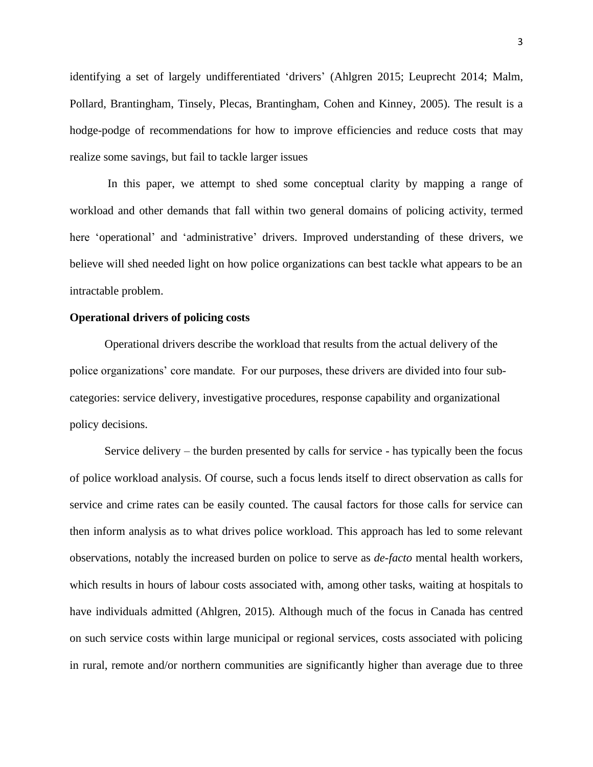identifying a set of largely undifferentiated 'drivers' (Ahlgren 2015; Leuprecht 2014; Malm, Pollard, Brantingham, Tinsely, Plecas, Brantingham, Cohen and Kinney, 2005). The result is a hodge-podge of recommendations for how to improve efficiencies and reduce costs that may realize some savings, but fail to tackle larger issues

In this paper, we attempt to shed some conceptual clarity by mapping a range of workload and other demands that fall within two general domains of policing activity, termed here 'operational' and 'administrative' drivers. Improved understanding of these drivers, we believe will shed needed light on how police organizations can best tackle what appears to be an intractable problem.

### **Operational drivers of policing costs**

Operational drivers describe the workload that results from the actual delivery of the police organizations' core mandate. For our purposes, these drivers are divided into four subcategories: service delivery, investigative procedures, response capability and organizational policy decisions.

Service delivery – the burden presented by calls for service - has typically been the focus of police workload analysis. Of course, such a focus lends itself to direct observation as calls for service and crime rates can be easily counted. The causal factors for those calls for service can then inform analysis as to what drives police workload. This approach has led to some relevant observations, notably the increased burden on police to serve as *de-facto* mental health workers, which results in hours of labour costs associated with, among other tasks, waiting at hospitals to have individuals admitted (Ahlgren, 2015). Although much of the focus in Canada has centred on such service costs within large municipal or regional services, costs associated with policing in rural, remote and/or northern communities are significantly higher than average due to three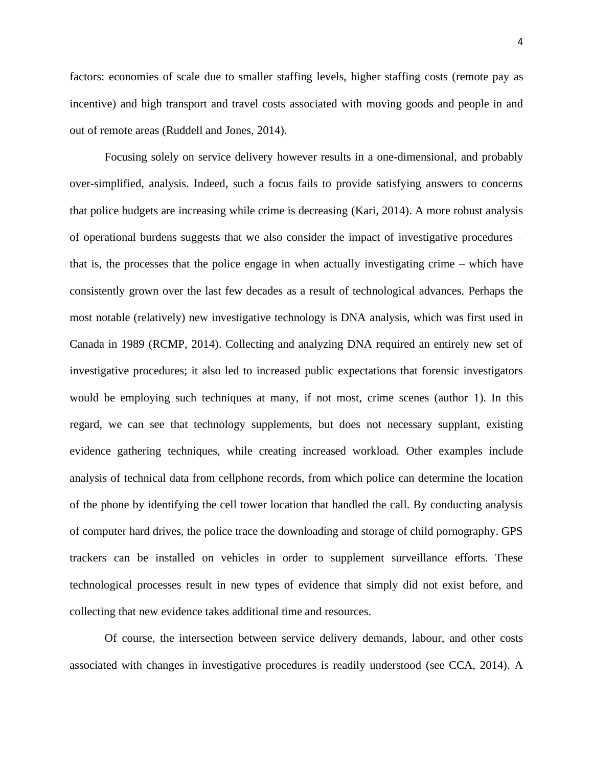factors: economies of scale due to smaller staffing levels, higher staffing costs (remote pay as incentive) and high transport and travel costs associated with moving goods and people in and out of remote areas (Ruddell and Jones, 2014).

Focusing solely on service delivery however results in a one-dimensional, and probably over-simplified, analysis. Indeed, such a focus fails to provide satisfying answers to concerns that police budgets are increasing while crime is decreasing (Kari, 2014). A more robust analysis of operational burdens suggests that we also consider the impact of investigative procedures – that is, the processes that the police engage in when actually investigating crime – which have consistently grown over the last few decades as a result of technological advances. Perhaps the most notable (relatively) new investigative technology is DNA analysis, which was first used in Canada in 1989 (RCMP, 2014). Collecting and analyzing DNA required an entirely new set of investigative procedures; it also led to increased public expectations that forensic investigators would be employing such techniques at many, if not most, crime scenes (author 1). In this regard, we can see that technology supplements, but does not necessary supplant, existing evidence gathering techniques, while creating increased workload. Other examples include analysis of technical data from cellphone records, from which police can determine the location of the phone by identifying the cell tower location that handled the call. By conducting analysis of computer hard drives, the police trace the downloading and storage of child pornography. GPS trackers can be installed on vehicles in order to supplement surveillance efforts. These technological processes result in new types of evidence that simply did not exist before, and collecting that new evidence takes additional time and resources.

Of course, the intersection between service delivery demands, labour, and other costs associated with changes in investigative procedures is readily understood (see CCA, 2014). A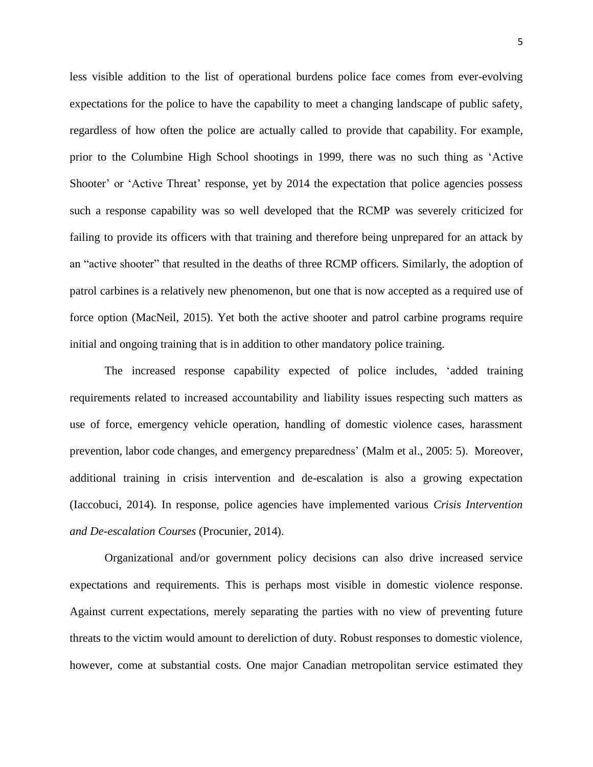less visible addition to the list of operational burdens police face comes from ever-evolving expectations for the police to have the capability to meet a changing landscape of public safety, regardless of how often the police are actually called to provide that capability. For example, prior to the Columbine High School shootings in 1999, there was no such thing as 'Active Shooter' or 'Active Threat' response, yet by 2014 the expectation that police agencies possess such a response capability was so well developed that the RCMP was severely criticized for failing to provide its officers with that training and therefore being unprepared for an attack by an "active shooter" that resulted in the deaths of three RCMP officers. Similarly, the adoption of patrol carbines is a relatively new phenomenon, but one that is now accepted as a required use of force option (MacNeil, 2015). Yet both the active shooter and patrol carbine programs require initial and ongoing training that is in addition to other mandatory police training.

The increased response capability expected of police includes, 'added training requirements related to increased accountability and liability issues respecting such matters as use of force, emergency vehicle operation, handling of domestic violence cases, harassment prevention, labor code changes, and emergency preparedness' (Malm et al., 2005: 5). Moreover, additional training in crisis intervention and de-escalation is also a growing expectation (Iaccobuci, 2014). In response, police agencies have implemented various *Crisis Intervention and De-escalation Courses* (Procunier, 2014).

Organizational and/or government policy decisions can also drive increased service expectations and requirements. This is perhaps most visible in domestic violence response. Against current expectations, merely separating the parties with no view of preventing future threats to the victim would amount to dereliction of duty. Robust responses to domestic violence, however, come at substantial costs. One major Canadian metropolitan service estimated they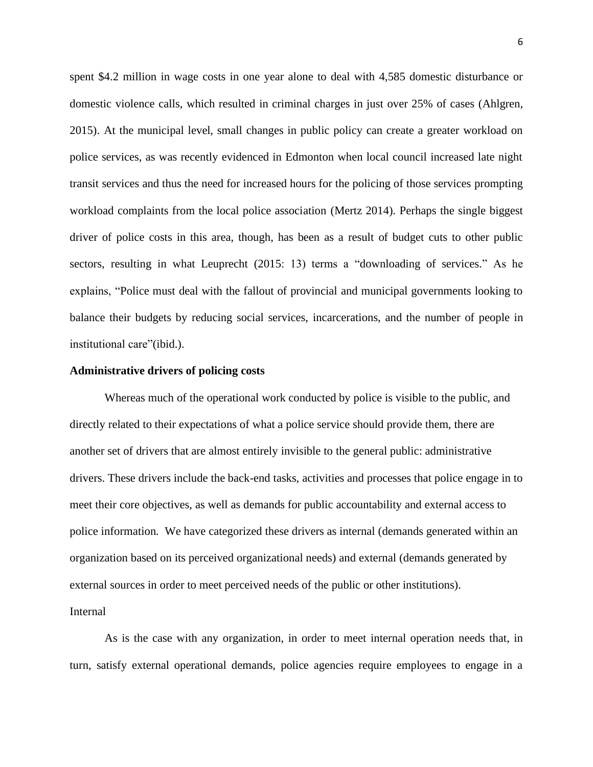spent \$4.2 million in wage costs in one year alone to deal with 4,585 domestic disturbance or domestic violence calls, which resulted in criminal charges in just over 25% of cases (Ahlgren, 2015). At the municipal level, small changes in public policy can create a greater workload on police services, as was recently evidenced in Edmonton when local council increased late night transit services and thus the need for increased hours for the policing of those services prompting workload complaints from the local police association (Mertz 2014). Perhaps the single biggest driver of police costs in this area, though, has been as a result of budget cuts to other public sectors, resulting in what Leuprecht (2015: 13) terms a "downloading of services." As he explains, "Police must deal with the fallout of provincial and municipal governments looking to balance their budgets by reducing social services, incarcerations, and the number of people in institutional care"(ibid.).

#### **Administrative drivers of policing costs**

Whereas much of the operational work conducted by police is visible to the public, and directly related to their expectations of what a police service should provide them, there are another set of drivers that are almost entirely invisible to the general public: administrative drivers. These drivers include the back-end tasks, activities and processes that police engage in to meet their core objectives, as well as demands for public accountability and external access to police information. We have categorized these drivers as internal (demands generated within an organization based on its perceived organizational needs) and external (demands generated by external sources in order to meet perceived needs of the public or other institutions). Internal

As is the case with any organization, in order to meet internal operation needs that, in turn, satisfy external operational demands, police agencies require employees to engage in a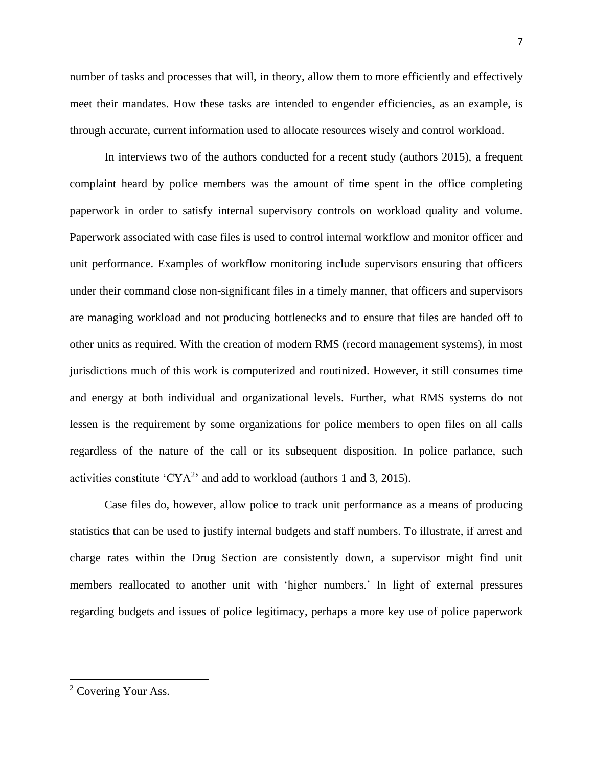number of tasks and processes that will, in theory, allow them to more efficiently and effectively meet their mandates. How these tasks are intended to engender efficiencies, as an example, is through accurate, current information used to allocate resources wisely and control workload.

In interviews two of the authors conducted for a recent study (authors 2015), a frequent complaint heard by police members was the amount of time spent in the office completing paperwork in order to satisfy internal supervisory controls on workload quality and volume. Paperwork associated with case files is used to control internal workflow and monitor officer and unit performance. Examples of workflow monitoring include supervisors ensuring that officers under their command close non-significant files in a timely manner, that officers and supervisors are managing workload and not producing bottlenecks and to ensure that files are handed off to other units as required. With the creation of modern RMS (record management systems), in most jurisdictions much of this work is computerized and routinized. However, it still consumes time and energy at both individual and organizational levels. Further, what RMS systems do not lessen is the requirement by some organizations for police members to open files on all calls regardless of the nature of the call or its subsequent disposition. In police parlance, such activities constitute 'CYA<sup>2</sup>' and add to workload (authors 1 and 3, 2015).

Case files do, however, allow police to track unit performance as a means of producing statistics that can be used to justify internal budgets and staff numbers. To illustrate, if arrest and charge rates within the Drug Section are consistently down, a supervisor might find unit members reallocated to another unit with 'higher numbers.' In light of external pressures regarding budgets and issues of police legitimacy, perhaps a more key use of police paperwork

<sup>&</sup>lt;sup>2</sup> Covering Your Ass.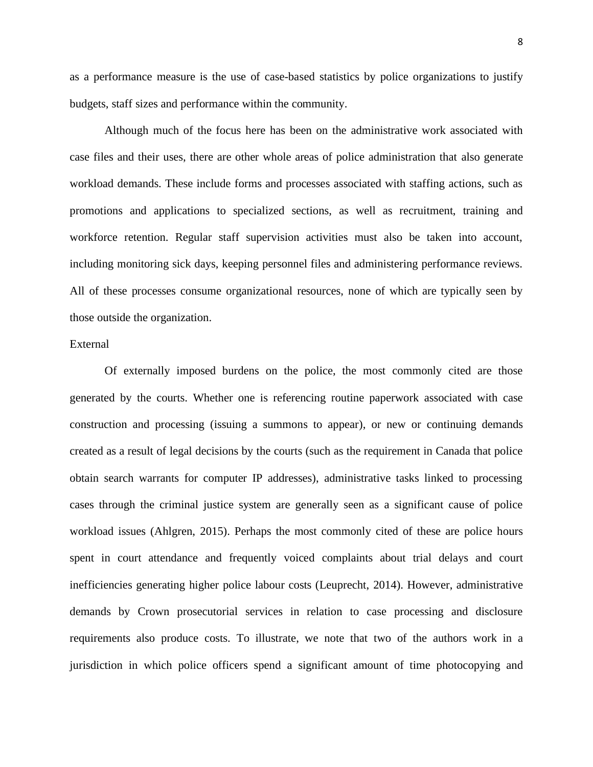as a performance measure is the use of case-based statistics by police organizations to justify budgets, staff sizes and performance within the community.

Although much of the focus here has been on the administrative work associated with case files and their uses, there are other whole areas of police administration that also generate workload demands. These include forms and processes associated with staffing actions, such as promotions and applications to specialized sections, as well as recruitment, training and workforce retention. Regular staff supervision activities must also be taken into account, including monitoring sick days, keeping personnel files and administering performance reviews. All of these processes consume organizational resources, none of which are typically seen by those outside the organization.

# External

Of externally imposed burdens on the police, the most commonly cited are those generated by the courts. Whether one is referencing routine paperwork associated with case construction and processing (issuing a summons to appear), or new or continuing demands created as a result of legal decisions by the courts (such as the requirement in Canada that police obtain search warrants for computer IP addresses), administrative tasks linked to processing cases through the criminal justice system are generally seen as a significant cause of police workload issues (Ahlgren, 2015). Perhaps the most commonly cited of these are police hours spent in court attendance and frequently voiced complaints about trial delays and court inefficiencies generating higher police labour costs (Leuprecht, 2014). However, administrative demands by Crown prosecutorial services in relation to case processing and disclosure requirements also produce costs. To illustrate, we note that two of the authors work in a jurisdiction in which police officers spend a significant amount of time photocopying and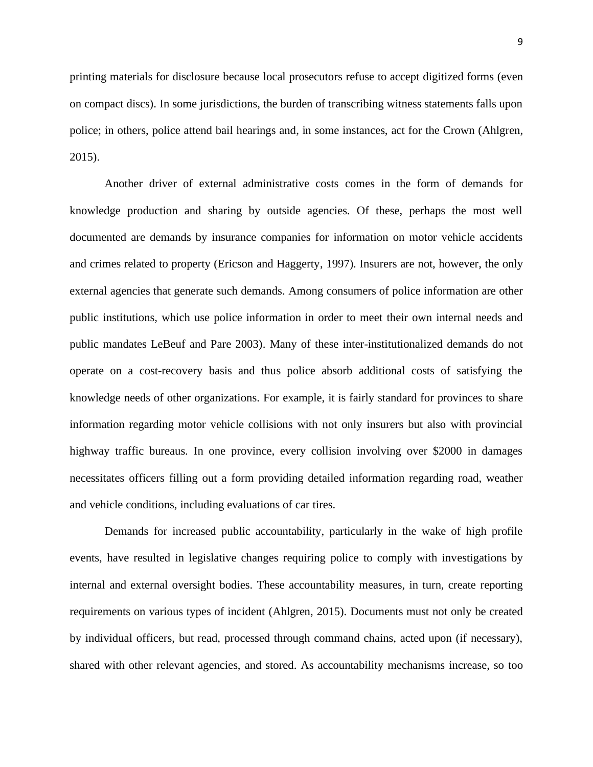printing materials for disclosure because local prosecutors refuse to accept digitized forms (even on compact discs). In some jurisdictions, the burden of transcribing witness statements falls upon police; in others, police attend bail hearings and, in some instances, act for the Crown (Ahlgren, 2015).

Another driver of external administrative costs comes in the form of demands for knowledge production and sharing by outside agencies. Of these, perhaps the most well documented are demands by insurance companies for information on motor vehicle accidents and crimes related to property (Ericson and Haggerty, 1997). Insurers are not, however, the only external agencies that generate such demands. Among consumers of police information are other public institutions, which use police information in order to meet their own internal needs and public mandates LeBeuf and Pare 2003). Many of these inter-institutionalized demands do not operate on a cost-recovery basis and thus police absorb additional costs of satisfying the knowledge needs of other organizations. For example, it is fairly standard for provinces to share information regarding motor vehicle collisions with not only insurers but also with provincial highway traffic bureaus. In one province, every collision involving over \$2000 in damages necessitates officers filling out a form providing detailed information regarding road, weather and vehicle conditions, including evaluations of car tires.

Demands for increased public accountability, particularly in the wake of high profile events, have resulted in legislative changes requiring police to comply with investigations by internal and external oversight bodies. These accountability measures, in turn, create reporting requirements on various types of incident (Ahlgren, 2015). Documents must not only be created by individual officers, but read, processed through command chains, acted upon (if necessary), shared with other relevant agencies, and stored. As accountability mechanisms increase, so too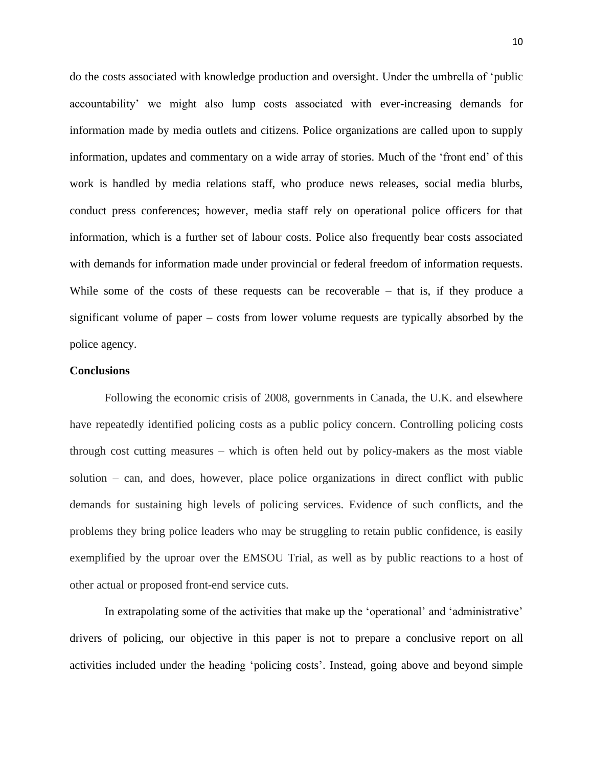do the costs associated with knowledge production and oversight. Under the umbrella of 'public accountability' we might also lump costs associated with ever-increasing demands for information made by media outlets and citizens. Police organizations are called upon to supply information, updates and commentary on a wide array of stories. Much of the 'front end' of this work is handled by media relations staff, who produce news releases, social media blurbs, conduct press conferences; however, media staff rely on operational police officers for that information, which is a further set of labour costs. Police also frequently bear costs associated with demands for information made under provincial or federal freedom of information requests. While some of the costs of these requests can be recoverable – that is, if they produce a significant volume of paper – costs from lower volume requests are typically absorbed by the police agency.

# **Conclusions**

Following the economic crisis of 2008, governments in Canada, the U.K. and elsewhere have repeatedly identified policing costs as a public policy concern. Controlling policing costs through cost cutting measures – which is often held out by policy-makers as the most viable solution – can, and does, however, place police organizations in direct conflict with public demands for sustaining high levels of policing services. Evidence of such conflicts, and the problems they bring police leaders who may be struggling to retain public confidence, is easily exemplified by the uproar over the EMSOU Trial, as well as by public reactions to a host of other actual or proposed front-end service cuts.

In extrapolating some of the activities that make up the 'operational' and 'administrative' drivers of policing, our objective in this paper is not to prepare a conclusive report on all activities included under the heading 'policing costs'. Instead, going above and beyond simple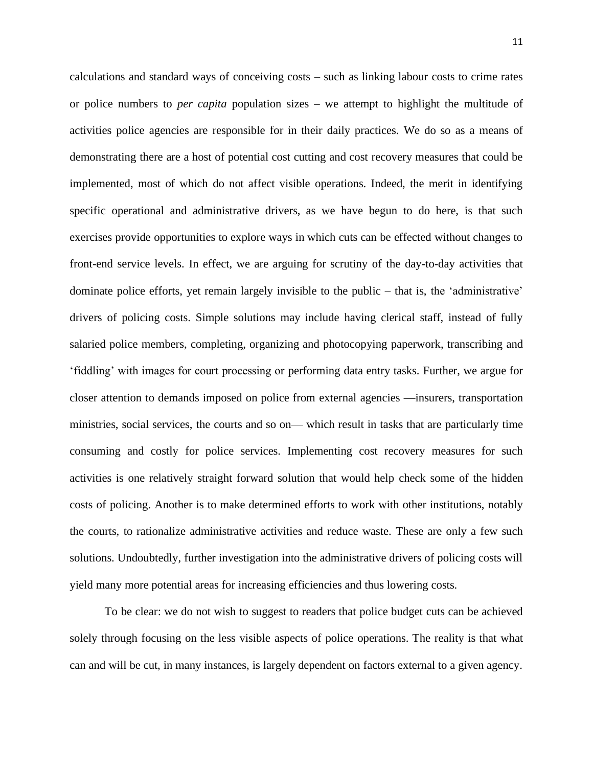calculations and standard ways of conceiving costs – such as linking labour costs to crime rates or police numbers to *per capita* population sizes – we attempt to highlight the multitude of activities police agencies are responsible for in their daily practices. We do so as a means of demonstrating there are a host of potential cost cutting and cost recovery measures that could be implemented, most of which do not affect visible operations. Indeed, the merit in identifying specific operational and administrative drivers, as we have begun to do here, is that such exercises provide opportunities to explore ways in which cuts can be effected without changes to front-end service levels. In effect, we are arguing for scrutiny of the day-to-day activities that dominate police efforts, yet remain largely invisible to the public – that is, the 'administrative' drivers of policing costs. Simple solutions may include having clerical staff, instead of fully salaried police members, completing, organizing and photocopying paperwork, transcribing and 'fiddling' with images for court processing or performing data entry tasks. Further, we argue for closer attention to demands imposed on police from external agencies —insurers, transportation ministries, social services, the courts and so on— which result in tasks that are particularly time consuming and costly for police services. Implementing cost recovery measures for such activities is one relatively straight forward solution that would help check some of the hidden costs of policing. Another is to make determined efforts to work with other institutions, notably the courts, to rationalize administrative activities and reduce waste. These are only a few such solutions. Undoubtedly, further investigation into the administrative drivers of policing costs will yield many more potential areas for increasing efficiencies and thus lowering costs.

To be clear: we do not wish to suggest to readers that police budget cuts can be achieved solely through focusing on the less visible aspects of police operations. The reality is that what can and will be cut, in many instances, is largely dependent on factors external to a given agency.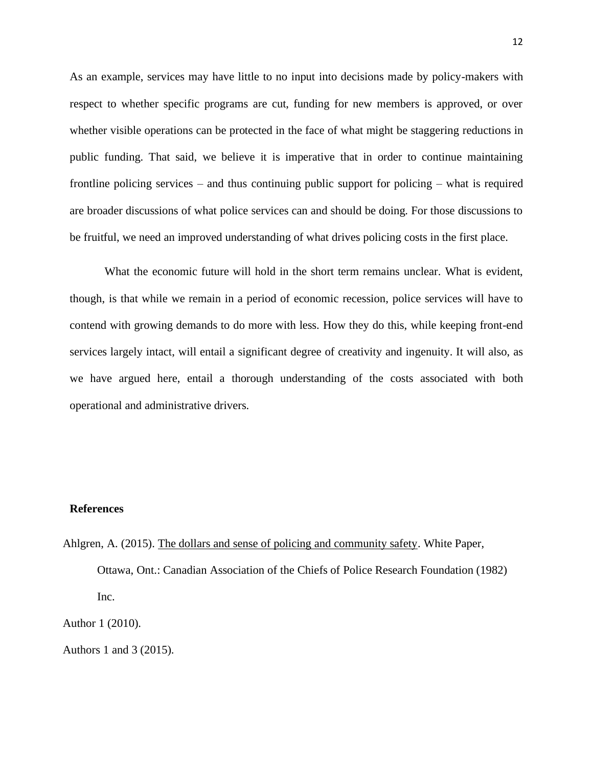As an example, services may have little to no input into decisions made by policy-makers with respect to whether specific programs are cut, funding for new members is approved, or over whether visible operations can be protected in the face of what might be staggering reductions in public funding. That said, we believe it is imperative that in order to continue maintaining frontline policing services – and thus continuing public support for policing – what is required are broader discussions of what police services can and should be doing. For those discussions to be fruitful, we need an improved understanding of what drives policing costs in the first place.

What the economic future will hold in the short term remains unclear. What is evident, though, is that while we remain in a period of economic recession, police services will have to contend with growing demands to do more with less. How they do this, while keeping front-end services largely intact, will entail a significant degree of creativity and ingenuity. It will also, as we have argued here, entail a thorough understanding of the costs associated with both operational and administrative drivers.

#### **References**

Ahlgren, A. (2015). The dollars and sense of policing and community safety. White Paper, Ottawa, Ont.: Canadian Association of the Chiefs of Police Research Foundation (1982) Inc.

Author 1 (2010).

Authors 1 and 3 (2015).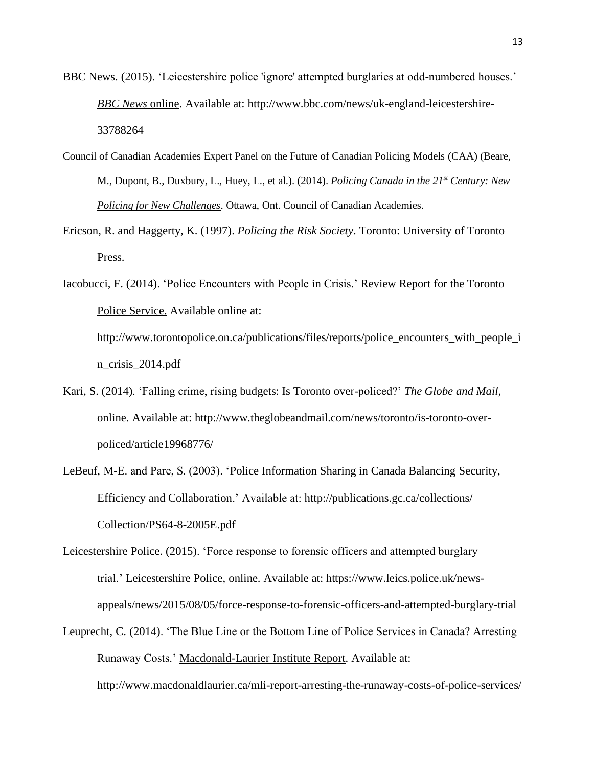- BBC News. (2015). 'Leicestershire police 'ignore' attempted burglaries at odd-numbered houses.' *BBC News* online. Available at: http://www.bbc.com/news/uk-england-leicestershire-33788264
- Council of Canadian Academies Expert Panel on the Future of Canadian Policing Models (CAA) (Beare, M., Dupont, B., Duxbury, L., Huey, L., et al.). (2014). *Policing Canada in the 21st Century: New Policing for New Challenges*. Ottawa, Ont. Council of Canadian Academies.
- Ericson, R. and Haggerty, K. (1997). *Policing the Risk Society*. Toronto: University of Toronto Press.
- Iacobucci, F. (2014). 'Police Encounters with People in Crisis.' Review Report for the Toronto Police Service. Available online at: http://www.torontopolice.on.ca/publications/files/reports/police\_encounters\_with\_people\_i n\_crisis\_2014.pdf
- Kari, S. (2014). 'Falling crime, rising budgets: Is Toronto over-policed?' *The Globe and Mail*, online. Available at: http://www.theglobeandmail.com/news/toronto/is-toronto-overpoliced/article19968776/
- LeBeuf, M-E. and Pare, S. (2003). 'Police Information Sharing in Canada Balancing Security, Efficiency and Collaboration.' Available at: http://publications.gc.ca/collections/ Collection/PS64-8-2005E.pdf
- Leicestershire Police. (2015). 'Force response to forensic officers and attempted burglary trial.' Leicestershire Police, online. Available at: https://www.leics.police.uk/newsappeals/news/2015/08/05/force-response-to-forensic-officers-and-attempted-burglary-trial
- Leuprecht, C. (2014). 'The Blue Line or the Bottom Line of Police Services in Canada? Arresting Runaway Costs.' Macdonald-Laurier Institute Report. Available at: http://www.macdonaldlaurier.ca/mli-report-arresting-the-runaway-costs-of-police-services/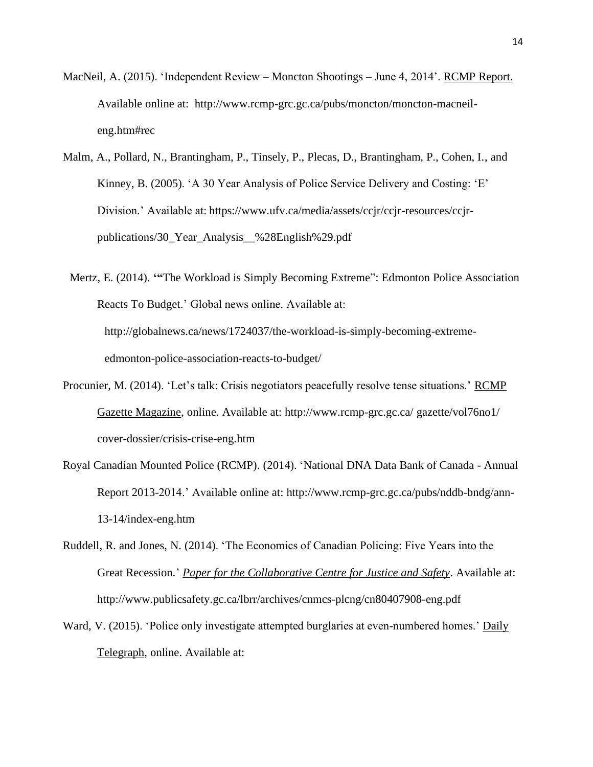- MacNeil, A. (2015). 'Independent Review Moncton Shootings June 4, 2014'. RCMP Report. Available online at: http://www.rcmp-grc.gc.ca/pubs/moncton/moncton-macneileng.htm#rec
- Malm, A., Pollard, N., Brantingham, P., Tinsely, P., Plecas, D., Brantingham, P., Cohen, I., and Kinney, B. (2005). 'A 30 Year Analysis of Police Service Delivery and Costing: 'E' Division.' Available at: https://www.ufv.ca/media/assets/ccjr/ccjr-resources/ccjrpublications/30\_Year\_Analysis\_\_%28English%29.pdf
- Mertz, E. (2014). **'"**The Workload is Simply Becoming Extreme": Edmonton Police Association Reacts To Budget.' Global news online. Available at: http://globalnews.ca/news/1724037/the-workload-is-simply-becoming-extremeedmonton-police-association-reacts-to-budget/
- Procunier, M. (2014). 'Let's talk: Crisis negotiators peacefully resolve tense situations.' RCMP Gazette Magazine, online. Available at: http://www.rcmp-grc.gc.ca/ gazette/vol76no1/ cover-dossier/crisis-crise-eng.htm
- Royal Canadian Mounted Police (RCMP). (2014). 'National DNA Data Bank of Canada Annual Report 2013-2014.' Available online at: http://www.rcmp-grc.gc.ca/pubs/nddb-bndg/ann-13-14/index-eng.htm
- Ruddell, R. and Jones, N. (2014). 'The Economics of Canadian Policing: Five Years into the Great Recession.' *Paper for the Collaborative Centre for Justice and Safety*. Available at: http://www.publicsafety.gc.ca/lbrr/archives/cnmcs-plcng/cn80407908-eng.pdf
- Ward, V. (2015). 'Police only investigate attempted burglaries at even-numbered homes.' Daily Telegraph, online. Available at: